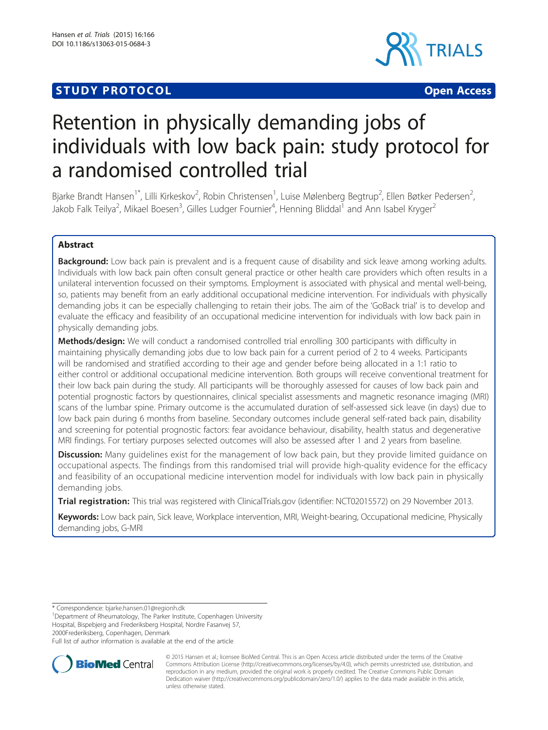## **STUDY PROTOCOL CONSUMING THE CONSUMING OPEN ACCESS**



# Retention in physically demanding jobs of individuals with low back pain: study protocol for a randomised controlled trial

Bjarke Brandt Hansen<sup>1\*</sup>, Lilli Kirkeskov<sup>2</sup>, Robin Christensen<sup>1</sup>, Luise Mølenberg Begtrup<sup>2</sup>, Ellen Bøtker Pedersen<sup>2</sup> , Jakob Falk Teilya<sup>2</sup>, Mikael Boesen<sup>3</sup>, Gilles Ludger Fournier<sup>4</sup>, Henning Bliddal<sup>1</sup> and Ann Isabel Kryger<sup>2</sup>

## Abstract

Background: Low back pain is prevalent and is a frequent cause of disability and sick leave among working adults. Individuals with low back pain often consult general practice or other health care providers which often results in a unilateral intervention focussed on their symptoms. Employment is associated with physical and mental well-being, so, patients may benefit from an early additional occupational medicine intervention. For individuals with physically demanding jobs it can be especially challenging to retain their jobs. The aim of the 'GoBack trial' is to develop and evaluate the efficacy and feasibility of an occupational medicine intervention for individuals with low back pain in physically demanding jobs.

Methods/design: We will conduct a randomised controlled trial enrolling 300 participants with difficulty in maintaining physically demanding jobs due to low back pain for a current period of 2 to 4 weeks. Participants will be randomised and stratified according to their age and gender before being allocated in a 1:1 ratio to either control or additional occupational medicine intervention. Both groups will receive conventional treatment for their low back pain during the study. All participants will be thoroughly assessed for causes of low back pain and potential prognostic factors by questionnaires, clinical specialist assessments and magnetic resonance imaging (MRI) scans of the lumbar spine. Primary outcome is the accumulated duration of self-assessed sick leave (in days) due to low back pain during 6 months from baseline. Secondary outcomes include general self-rated back pain, disability and screening for potential prognostic factors: fear avoidance behaviour, disability, health status and degenerative MRI findings. For tertiary purposes selected outcomes will also be assessed after 1 and 2 years from baseline.

Discussion: Many quidelines exist for the management of low back pain, but they provide limited quidance on occupational aspects. The findings from this randomised trial will provide high-quality evidence for the efficacy and feasibility of an occupational medicine intervention model for individuals with low back pain in physically demanding jobs.

Trial registration: This trial was registered with ClinicalTrials.gov (identifier: [NCT02015572](https://clinicaltrials.gov/ct2/results?term=NCT02015572&Search=Search)) on 29 November 2013.

Keywords: Low back pain, Sick leave, Workplace intervention, MRI, Weight-bearing, Occupational medicine, Physically demanding jobs, G-MRI

\* Correspondence: [bjarke.hansen.01@regionh.dk](mailto:bjarke.hansen.01@regionh.dk) <sup>1</sup>

Department of Rheumatology, The Parker Institute, Copenhagen University Hospital, Bispebjerg and Frederiksberg Hospital, Nordre Fasanvej 57, 2000Frederiksberg, Copenhagen, Denmark

Full list of author information is available at the end of the article



© 2015 Hansen et al.; licensee BioMed Central. This is an Open Access article distributed under the terms of the Creative Commons Attribution License [\(http://creativecommons.org/licenses/by/4.0\)](http://creativecommons.org/licenses/by/4.0), which permits unrestricted use, distribution, and reproduction in any medium, provided the original work is properly credited. The Creative Commons Public Domain Dedication waiver [\(http://creativecommons.org/publicdomain/zero/1.0/](http://creativecommons.org/publicdomain/zero/1.0/)) applies to the data made available in this article, unless otherwise stated.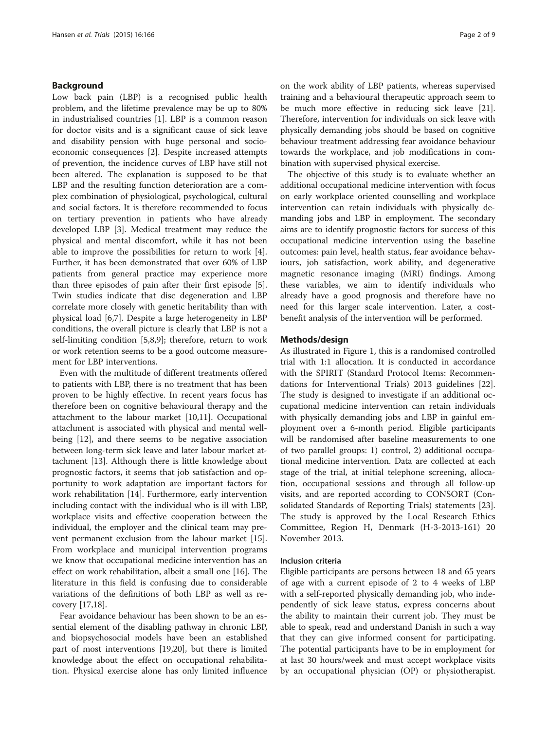## Background

Low back pain (LBP) is a recognised public health problem, and the lifetime prevalence may be up to 80% in industrialised countries [\[1](#page-8-0)]. LBP is a common reason for doctor visits and is a significant cause of sick leave and disability pension with huge personal and socioeconomic consequences [[2\]](#page-8-0). Despite increased attempts of prevention, the incidence curves of LBP have still not been altered. The explanation is supposed to be that LBP and the resulting function deterioration are a complex combination of physiological, psychological, cultural and social factors. It is therefore recommended to focus on tertiary prevention in patients who have already developed LBP [\[3](#page-8-0)]. Medical treatment may reduce the physical and mental discomfort, while it has not been able to improve the possibilities for return to work [\[4](#page-8-0)]. Further, it has been demonstrated that over 60% of LBP patients from general practice may experience more than three episodes of pain after their first episode [\[5](#page-8-0)]. Twin studies indicate that disc degeneration and LBP correlate more closely with genetic heritability than with physical load [[6,7\]](#page-8-0). Despite a large heterogeneity in LBP conditions, the overall picture is clearly that LBP is not a self-limiting condition [[5,8,9\]](#page-8-0); therefore, return to work or work retention seems to be a good outcome measurement for LBP interventions.

Even with the multitude of different treatments offered to patients with LBP, there is no treatment that has been proven to be highly effective. In recent years focus has therefore been on cognitive behavioural therapy and the attachment to the labour market [\[10,11](#page-8-0)]. Occupational attachment is associated with physical and mental wellbeing [[12](#page-8-0)], and there seems to be negative association between long-term sick leave and later labour market attachment [\[13\]](#page-8-0). Although there is little knowledge about prognostic factors, it seems that job satisfaction and opportunity to work adaptation are important factors for work rehabilitation [[14](#page-8-0)]. Furthermore, early intervention including contact with the individual who is ill with LBP, workplace visits and effective cooperation between the individual, the employer and the clinical team may prevent permanent exclusion from the labour market [\[15](#page-8-0)]. From workplace and municipal intervention programs we know that occupational medicine intervention has an effect on work rehabilitation, albeit a small one [\[16](#page-8-0)]. The literature in this field is confusing due to considerable variations of the definitions of both LBP as well as recovery [\[17,18](#page-8-0)].

Fear avoidance behaviour has been shown to be an essential element of the disabling pathway in chronic LBP, and biopsychosocial models have been an established part of most interventions [\[19,20\]](#page-8-0), but there is limited knowledge about the effect on occupational rehabilitation. Physical exercise alone has only limited influence

on the work ability of LBP patients, whereas supervised training and a behavioural therapeutic approach seem to be much more effective in reducing sick leave [\[21](#page-8-0)]. Therefore, intervention for individuals on sick leave with physically demanding jobs should be based on cognitive behaviour treatment addressing fear avoidance behaviour towards the workplace, and job modifications in combination with supervised physical exercise.

The objective of this study is to evaluate whether an additional occupational medicine intervention with focus on early workplace oriented counselling and workplace intervention can retain individuals with physically demanding jobs and LBP in employment. The secondary aims are to identify prognostic factors for success of this occupational medicine intervention using the baseline outcomes: pain level, health status, fear avoidance behaviours, job satisfaction, work ability, and degenerative magnetic resonance imaging (MRI) findings. Among these variables, we aim to identify individuals who already have a good prognosis and therefore have no need for this larger scale intervention. Later, a costbenefit analysis of the intervention will be performed.

## Methods/design

As illustrated in Figure [1,](#page-2-0) this is a randomised controlled trial with 1:1 allocation. It is conducted in accordance with the SPIRIT (Standard Protocol Items: Recommendations for Interventional Trials) 2013 guidelines [\[22](#page-8-0)]. The study is designed to investigate if an additional occupational medicine intervention can retain individuals with physically demanding jobs and LBP in gainful employment over a 6-month period. Eligible participants will be randomised after baseline measurements to one of two parallel groups: 1) control, 2) additional occupational medicine intervention. Data are collected at each stage of the trial, at initial telephone screening, allocation, occupational sessions and through all follow-up visits, and are reported according to CONSORT (Consolidated Standards of Reporting Trials) statements [\[23](#page-8-0)]. The study is approved by the Local Research Ethics Committee, Region H, Denmark (H-3-2013-161) 20 November 2013.

## Inclusion criteria

Eligible participants are persons between 18 and 65 years of age with a current episode of 2 to 4 weeks of LBP with a self-reported physically demanding job, who independently of sick leave status, express concerns about the ability to maintain their current job. They must be able to speak, read and understand Danish in such a way that they can give informed consent for participating. The potential participants have to be in employment for at last 30 hours/week and must accept workplace visits by an occupational physician (OP) or physiotherapist.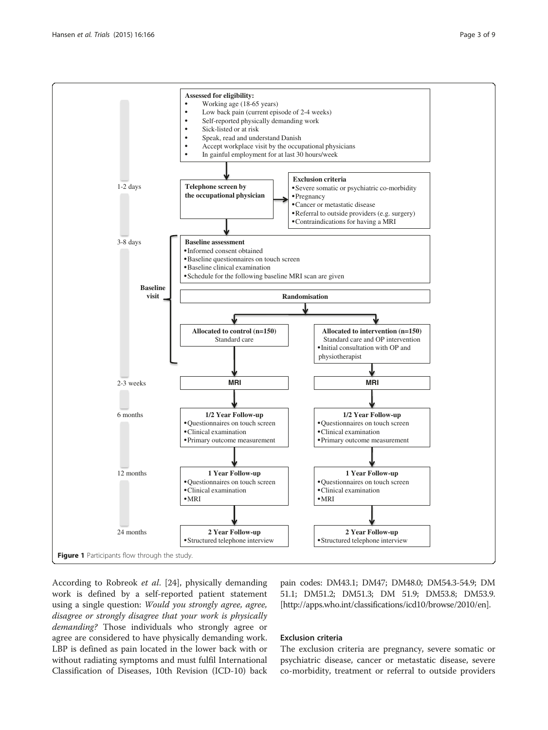<span id="page-2-0"></span>

According to Robreok et al. [\[24](#page-8-0)], physically demanding work is defined by a self-reported patient statement using a single question: Would you strongly agree, agree, disagree or strongly disagree that your work is physically demanding? Those individuals who strongly agree or agree are considered to have physically demanding work. LBP is defined as pain located in the lower back with or without radiating symptoms and must fulfil International Classification of Diseases, 10th Revision (ICD-10) back

## pain codes: DM43.1; DM47; DM48.0; DM54.3-54.9; DM 51.1; DM51.2; DM51.3; DM 51.9; DM53.8; DM53.9. [[http://apps.who.int/classifications/icd10/browse/2010/en\]](http://apps.who.int/classifications/icd10/browse/2010/en).

## Exclusion criteria

The exclusion criteria are pregnancy, severe somatic or psychiatric disease, cancer or metastatic disease, severe co-morbidity, treatment or referral to outside providers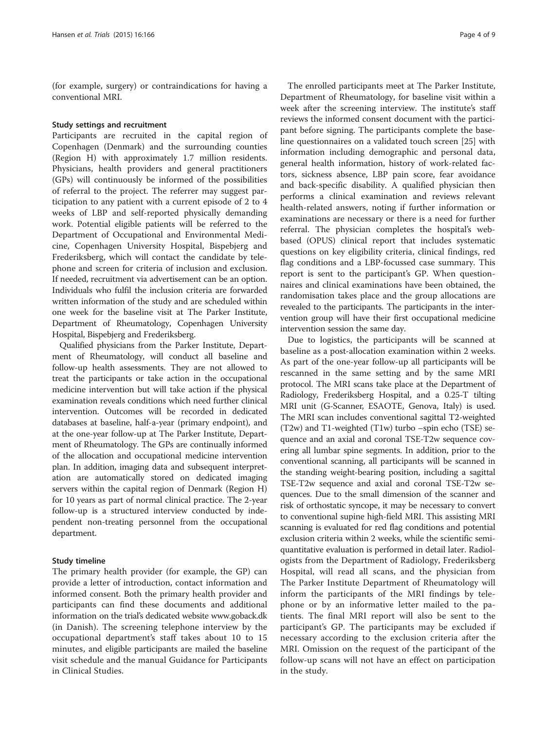(for example, surgery) or contraindications for having a conventional MRI.

## Study settings and recruitment

Participants are recruited in the capital region of Copenhagen (Denmark) and the surrounding counties (Region H) with approximately 1.7 million residents. Physicians, health providers and general practitioners (GPs) will continuously be informed of the possibilities of referral to the project. The referrer may suggest participation to any patient with a current episode of 2 to 4 weeks of LBP and self-reported physically demanding work. Potential eligible patients will be referred to the Department of Occupational and Environmental Medicine, Copenhagen University Hospital, Bispebjerg and Frederiksberg, which will contact the candidate by telephone and screen for criteria of inclusion and exclusion. If needed, recruitment via advertisement can be an option. Individuals who fulfil the inclusion criteria are forwarded written information of the study and are scheduled within one week for the baseline visit at The Parker Institute, Department of Rheumatology, Copenhagen University Hospital, Bispebjerg and Frederiksberg.

Qualified physicians from the Parker Institute, Department of Rheumatology, will conduct all baseline and follow-up health assessments. They are not allowed to treat the participants or take action in the occupational medicine intervention but will take action if the physical examination reveals conditions which need further clinical intervention. Outcomes will be recorded in dedicated databases at baseline, half-a-year (primary endpoint), and at the one-year follow-up at The Parker Institute, Department of Rheumatology. The GPs are continually informed of the allocation and occupational medicine intervention plan. In addition, imaging data and subsequent interpretation are automatically stored on dedicated imaging servers within the capital region of Denmark (Region H) for 10 years as part of normal clinical practice. The 2-year follow-up is a structured interview conducted by independent non-treating personnel from the occupational department.

#### Study timeline

The primary health provider (for example, the GP) can provide a letter of introduction, contact information and informed consent. Both the primary health provider and participants can find these documents and additional information on the trial's dedicated website [www.goback.dk](http://www.goback.dk/) (in Danish). The screening telephone interview by the occupational department's staff takes about 10 to 15 minutes, and eligible participants are mailed the baseline visit schedule and the manual Guidance for Participants in Clinical Studies.

The enrolled participants meet at The Parker Institute, Department of Rheumatology, for baseline visit within a week after the screening interview. The institute's staff reviews the informed consent document with the participant before signing. The participants complete the baseline questionnaires on a validated touch screen [[25](#page-8-0)] with information including demographic and personal data, general health information, history of work-related factors, sickness absence, LBP pain score, fear avoidance and back-specific disability. A qualified physician then performs a clinical examination and reviews relevant health-related answers, noting if further information or examinations are necessary or there is a need for further referral. The physician completes the hospital's webbased (OPUS) clinical report that includes systematic questions on key eligibility criteria, clinical findings, red flag conditions and a LBP-focussed case summary. This report is sent to the participant's GP. When questionnaires and clinical examinations have been obtained, the randomisation takes place and the group allocations are revealed to the participants. The participants in the intervention group will have their first occupational medicine intervention session the same day.

Due to logistics, the participants will be scanned at baseline as a post-allocation examination within 2 weeks. As part of the one-year follow-up all participants will be rescanned in the same setting and by the same MRI protocol. The MRI scans take place at the Department of Radiology, Frederiksberg Hospital, and a 0.25-T tilting MRI unit (G-Scanner, ESAOTE, Genova, Italy) is used. The MRI scan includes conventional sagittal T2-weighted (T2w) and T1-weighted (T1w) turbo –spin echo (TSE) sequence and an axial and coronal TSE-T2w sequence covering all lumbar spine segments. In addition, prior to the conventional scanning, all participants will be scanned in the standing weight-bearing position, including a sagittal TSE-T2w sequence and axial and coronal TSE-T2w sequences. Due to the small dimension of the scanner and risk of orthostatic syncope, it may be necessary to convert to conventional supine high-field MRI. This assisting MRI scanning is evaluated for red flag conditions and potential exclusion criteria within 2 weeks, while the scientific semiquantitative evaluation is performed in detail later. Radiologists from the Department of Radiology, Frederiksberg Hospital, will read all scans, and the physician from The Parker Institute Department of Rheumatology will inform the participants of the MRI findings by telephone or by an informative letter mailed to the patients. The final MRI report will also be sent to the participant's GP. The participants may be excluded if necessary according to the exclusion criteria after the MRI. Omission on the request of the participant of the follow-up scans will not have an effect on participation in the study.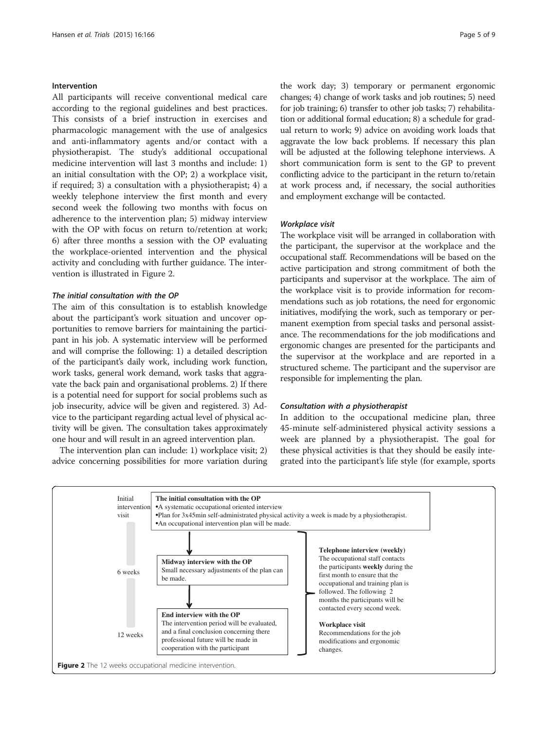## Intervention

All participants will receive conventional medical care according to the regional guidelines and best practices. This consists of a brief instruction in exercises and pharmacologic management with the use of analgesics and anti-inflammatory agents and/or contact with a physiotherapist. The study's additional occupational medicine intervention will last 3 months and include: 1) an initial consultation with the OP; 2) a workplace visit, if required; 3) a consultation with a physiotherapist; 4) a weekly telephone interview the first month and every second week the following two months with focus on adherence to the intervention plan; 5) midway interview with the OP with focus on return to/retention at work; 6) after three months a session with the OP evaluating the workplace-oriented intervention and the physical activity and concluding with further guidance. The intervention is illustrated in Figure 2.

## The initial consultation with the OP

The aim of this consultation is to establish knowledge about the participant's work situation and uncover opportunities to remove barriers for maintaining the participant in his job. A systematic interview will be performed and will comprise the following: 1) a detailed description of the participant's daily work, including work function, work tasks, general work demand, work tasks that aggravate the back pain and organisational problems. 2) If there is a potential need for support for social problems such as job insecurity, advice will be given and registered. 3) Advice to the participant regarding actual level of physical activity will be given. The consultation takes approximately one hour and will result in an agreed intervention plan.

The intervention plan can include: 1) workplace visit; 2) advice concerning possibilities for more variation during the work day; 3) temporary or permanent ergonomic changes; 4) change of work tasks and job routines; 5) need for job training; 6) transfer to other job tasks; 7) rehabilitation or additional formal education; 8) a schedule for gradual return to work; 9) advice on avoiding work loads that aggravate the low back problems. If necessary this plan will be adjusted at the following telephone interviews. A short communication form is sent to the GP to prevent conflicting advice to the participant in the return to/retain at work process and, if necessary, the social authorities and employment exchange will be contacted.

## Workplace visit

The workplace visit will be arranged in collaboration with the participant, the supervisor at the workplace and the occupational staff. Recommendations will be based on the active participation and strong commitment of both the participants and supervisor at the workplace. The aim of the workplace visit is to provide information for recommendations such as job rotations, the need for ergonomic initiatives, modifying the work, such as temporary or permanent exemption from special tasks and personal assistance. The recommendations for the job modifications and ergonomic changes are presented for the participants and the supervisor at the workplace and are reported in a structured scheme. The participant and the supervisor are responsible for implementing the plan.

## Consultation with a physiotherapist

In addition to the occupational medicine plan, three 45-minute self-administered physical activity sessions a week are planned by a physiotherapist. The goal for these physical activities is that they should be easily integrated into the participant's life style (for example, sports

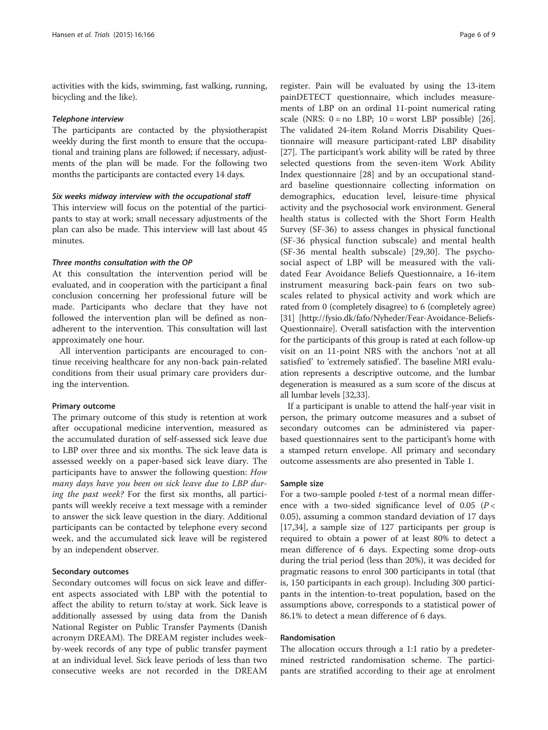activities with the kids, swimming, fast walking, running, bicycling and the like).

#### Telephone interview

The participants are contacted by the physiotherapist weekly during the first month to ensure that the occupational and training plans are followed; if necessary, adjustments of the plan will be made. For the following two months the participants are contacted every 14 days.

#### Six weeks midway interview with the occupational staff

This interview will focus on the potential of the participants to stay at work; small necessary adjustments of the plan can also be made. This interview will last about 45 minutes.

## Three months consultation with the OP

At this consultation the intervention period will be evaluated, and in cooperation with the participant a final conclusion concerning her professional future will be made. Participants who declare that they have not followed the intervention plan will be defined as nonadherent to the intervention. This consultation will last approximately one hour.

All intervention participants are encouraged to continue receiving healthcare for any non-back pain-related conditions from their usual primary care providers during the intervention.

## Primary outcome

The primary outcome of this study is retention at work after occupational medicine intervention, measured as the accumulated duration of self-assessed sick leave due to LBP over three and six months. The sick leave data is assessed weekly on a paper-based sick leave diary. The participants have to answer the following question: How many days have you been on sick leave due to LBP during the past week? For the first six months, all participants will weekly receive a text message with a reminder to answer the sick leave question in the diary. Additional participants can be contacted by telephone every second week, and the accumulated sick leave will be registered by an independent observer.

## Secondary outcomes

Secondary outcomes will focus on sick leave and different aspects associated with LBP with the potential to affect the ability to return to/stay at work. Sick leave is additionally assessed by using data from the Danish National Register on Public Transfer Payments (Danish acronym DREAM). The DREAM register includes weekby-week records of any type of public transfer payment at an individual level. Sick leave periods of less than two consecutive weeks are not recorded in the DREAM

register. Pain will be evaluated by using the 13-item painDETECT questionnaire, which includes measurements of LBP on an ordinal 11-point numerical rating scale (NRS:  $0 = no$  LBP;  $10 = worst$  LBP possible) [\[26](#page-8-0)]. The validated 24-item Roland Morris Disability Questionnaire will measure participant-rated LBP disability [[27\]](#page-8-0). The participant's work ability will be rated by three selected questions from the seven-item Work Ability Index questionnaire [\[28\]](#page-8-0) and by an occupational standard baseline questionnaire collecting information on demographics, education level, leisure-time physical activity and the psychosocial work environment. General health status is collected with the Short Form Health Survey (SF-36) to assess changes in physical functional (SF-36 physical function subscale) and mental health (SF-36 mental health subscale) [\[29](#page-8-0),[30\]](#page-8-0). The psychosocial aspect of LBP will be measured with the validated Fear Avoidance Beliefs Questionnaire, a 16-item instrument measuring back-pain fears on two subscales related to physical activity and work which are rated from 0 (completely disagree) to 6 (completely agree) [[31](#page-8-0)] [\[http://fysio.dk/fafo/Nyheder/Fear-Avoidance-Beliefs-](http://fysio.dk/fafo/Nyheder/Fear-Avoidance-Beliefs-Questionnaire)[Questionnaire](http://fysio.dk/fafo/Nyheder/Fear-Avoidance-Beliefs-Questionnaire)]. Overall satisfaction with the intervention for the participants of this group is rated at each follow-up visit on an 11-point NRS with the anchors 'not at all satisfied' to 'extremely satisfied'. The baseline MRI evaluation represents a descriptive outcome, and the lumbar degeneration is measured as a sum score of the discus at all lumbar levels [\[32,33\]](#page-8-0).

If a participant is unable to attend the half-year visit in person, the primary outcome measures and a subset of secondary outcomes can be administered via paperbased questionnaires sent to the participant's home with a stamped return envelope. All primary and secondary outcome assessments are also presented in Table [1](#page-6-0).

## Sample size

For a two-sample pooled *t*-test of a normal mean difference with a two-sided significance level of  $0.05$  ( $P <$ 0.05), assuming a common standard deviation of 17 days [[17,34\]](#page-8-0), a sample size of 127 participants per group is required to obtain a power of at least 80% to detect a mean difference of 6 days. Expecting some drop-outs during the trial period (less than 20%), it was decided for pragmatic reasons to enrol 300 participants in total (that is, 150 participants in each group). Including 300 participants in the intention-to-treat population, based on the assumptions above, corresponds to a statistical power of 86.1% to detect a mean difference of 6 days.

## Randomisation

The allocation occurs through a 1:1 ratio by a predetermined restricted randomisation scheme. The participants are stratified according to their age at enrolment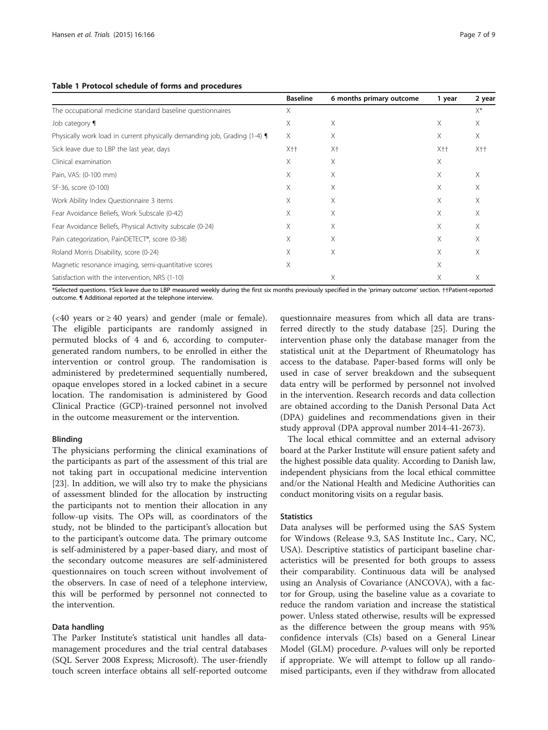#### <span id="page-6-0"></span>Table 1 Protocol schedule of forms and procedures

|                                                                              | <b>Baseline</b> | 6 months primary outcome | 1 year | 2 year |
|------------------------------------------------------------------------------|-----------------|--------------------------|--------|--------|
| The occupational medicine standard baseline questionnaires                   | Χ               |                          |        | $X^*$  |
| Job category ¶                                                               | X               | Χ                        | X      | X      |
| Physically work load in current physically demanding job, Grading (1-4) $\P$ | X               | X                        | X      | X      |
| Sick leave due to LBP the last year, days                                    | X <sup>++</sup> | X <sup>+</sup>           | X††    | X††    |
| Clinical examination                                                         | Χ               | Χ                        | X      |        |
| Pain, VAS: (0-100 mm)                                                        | X               | Χ                        | X      | X      |
| SF-36, score (0-100)                                                         | Χ               | Χ                        | X      | X      |
| Work Ability Index Questionnaire 3 items                                     | X               | Χ                        | X.     | X      |
| Fear Avoidance Beliefs, Work Subscale (0-42)                                 | X               | Χ                        | X      | Χ      |
| Fear Avoidance Beliefs, Physical Activity subscale (0-24)                    | X               | Χ                        | X      | Χ      |
| Pain categorization, PainDETECT®, score (0-38)                               | X               | Χ                        | Χ      | X      |
| Roland Morris Disability, score (0-24)                                       | X               | Χ                        | X      | Χ      |
| Magnetic resonance imaging, semi-quantitative scores                         | Χ               |                          | Χ      |        |
| Satisfaction with the intervention, NRS (1-10)                               |                 | Χ                        | Χ      | X      |

\*Selected questions. †Sick leave due to LBP measured weekly during the first six months previously specified in the 'primary outcome' section. ††Patient-reported outcome. ¶ Additional reported at the telephone interview.

 $\left($  <40 years or  $\geq$  40 years) and gender (male or female). The eligible participants are randomly assigned in permuted blocks of 4 and 6, according to computergenerated random numbers, to be enrolled in either the intervention or control group. The randomisation is administered by predetermined sequentially numbered, opaque envelopes stored in a locked cabinet in a secure location. The randomisation is administered by Good Clinical Practice (GCP)-trained personnel not involved in the outcome measurement or the intervention.

## Blinding

The physicians performing the clinical examinations of the participants as part of the assessment of this trial are not taking part in occupational medicine intervention [[23\]](#page-8-0). In addition, we will also try to make the physicians of assessment blinded for the allocation by instructing the participants not to mention their allocation in any follow-up visits. The OPs will, as coordinators of the study, not be blinded to the participant's allocation but to the participant's outcome data. The primary outcome is self-administered by a paper-based diary, and most of the secondary outcome measures are self-administered questionnaires on touch screen without involvement of the observers. In case of need of a telephone interview, this will be performed by personnel not connected to the intervention.

## Data handling

The Parker Institute's statistical unit handles all datamanagement procedures and the trial central databases (SQL Server 2008 Express; Microsoft). The user-friendly touch screen interface obtains all self-reported outcome

questionnaire measures from which all data are transferred directly to the study database [\[25](#page-8-0)]. During the intervention phase only the database manager from the statistical unit at the Department of Rheumatology has access to the database. Paper-based forms will only be used in case of server breakdown and the subsequent data entry will be performed by personnel not involved in the intervention. Research records and data collection are obtained according to the Danish Personal Data Act (DPA) guidelines and recommendations given in their study approval (DPA approval number 2014-41-2673).

The local ethical committee and an external advisory board at the Parker Institute will ensure patient safety and the highest possible data quality. According to Danish law, independent physicians from the local ethical committee and/or the National Health and Medicine Authorities can conduct monitoring visits on a regular basis.

## **Statistics**

Data analyses will be performed using the SAS System for Windows (Release 9.3, SAS Institute Inc., Cary, NC, USA). Descriptive statistics of participant baseline characteristics will be presented for both groups to assess their comparability. Continuous data will be analysed using an Analysis of Covariance (ANCOVA), with a factor for Group, using the baseline value as a covariate to reduce the random variation and increase the statistical power. Unless stated otherwise, results will be expressed as the difference between the group means with 95% confidence intervals (CIs) based on a General Linear Model (GLM) procedure. P-values will only be reported if appropriate. We will attempt to follow up all randomised participants, even if they withdraw from allocated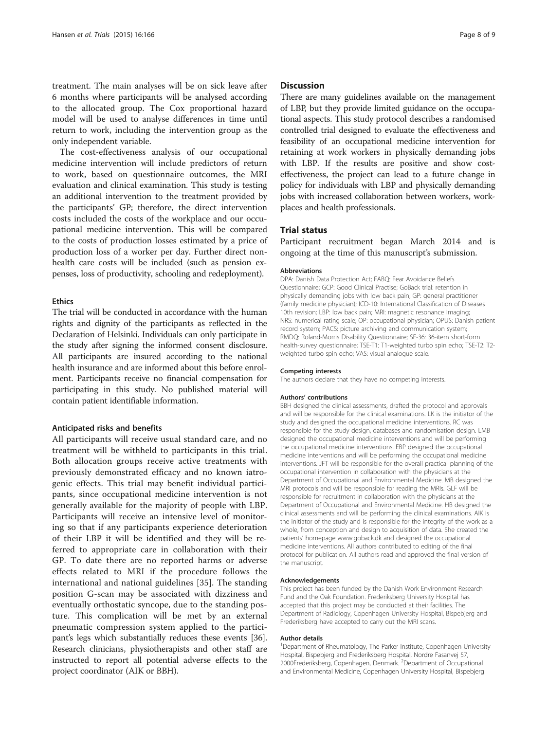treatment. The main analyses will be on sick leave after 6 months where participants will be analysed according to the allocated group. The Cox proportional hazard model will be used to analyse differences in time until return to work, including the intervention group as the only independent variable.

The cost-effectiveness analysis of our occupational medicine intervention will include predictors of return to work, based on questionnaire outcomes, the MRI evaluation and clinical examination. This study is testing an additional intervention to the treatment provided by the participants' GP; therefore, the direct intervention costs included the costs of the workplace and our occupational medicine intervention. This will be compared to the costs of production losses estimated by a price of production loss of a worker per day. Further direct nonhealth care costs will be included (such as pension expenses, loss of productivity, schooling and redeployment).

## **Ethics**

The trial will be conducted in accordance with the human rights and dignity of the participants as reflected in the Declaration of Helsinki. Individuals can only participate in the study after signing the informed consent disclosure. All participants are insured according to the national health insurance and are informed about this before enrolment. Participants receive no financial compensation for participating in this study. No published material will contain patient identifiable information.

## Anticipated risks and benefits

All participants will receive usual standard care, and no treatment will be withheld to participants in this trial. Both allocation groups receive active treatments with previously demonstrated efficacy and no known iatrogenic effects. This trial may benefit individual participants, since occupational medicine intervention is not generally available for the majority of people with LBP. Participants will receive an intensive level of monitoring so that if any participants experience deterioration of their LBP it will be identified and they will be referred to appropriate care in collaboration with their GP. To date there are no reported harms or adverse effects related to MRI if the procedure follows the international and national guidelines [[35](#page-8-0)]. The standing position G-scan may be associated with dizziness and eventually orthostatic syncope, due to the standing posture. This complication will be met by an external pneumatic compression system applied to the participant's legs which substantially reduces these events [[36](#page-8-0)]. Research clinicians, physiotherapists and other staff are instructed to report all potential adverse effects to the project coordinator (AIK or BBH).

## **Discussion**

There are many guidelines available on the management of LBP, but they provide limited guidance on the occupational aspects. This study protocol describes a randomised controlled trial designed to evaluate the effectiveness and feasibility of an occupational medicine intervention for retaining at work workers in physically demanding jobs with LBP. If the results are positive and show costeffectiveness, the project can lead to a future change in policy for individuals with LBP and physically demanding jobs with increased collaboration between workers, workplaces and health professionals.

## Trial status

Participant recruitment began March 2014 and is ongoing at the time of this manuscript's submission.

#### Abbreviations

DPA: Danish Data Protection Act; FABQ: Fear Avoidance Beliefs Questionnaire; GCP: Good Clinical Practise; GoBack trial: retention in physically demanding jobs with low back pain; GP: general practitioner (family medicine physician); ICD-10: International Classification of Diseases 10th revision; LBP: low back pain; MRI: magnetic resonance imaging; NRS: numerical rating scale; OP: occupational physician; OPUS: Danish patient record system; PACS: picture archiving and communication system; RMDQ: Roland-Morris Disability Questionnaire; SF-36: 36-item short-form health-survey questionnaire; TSE-T1: T1-weighted turbo spin echo; TSE-T2: T2 weighted turbo spin echo; VAS: visual analogue scale.

#### Competing interests

The authors declare that they have no competing interests.

#### Authors' contributions

BBH designed the clinical assessments, drafted the protocol and approvals and will be responsible for the clinical examinations. LK is the initiator of the study and designed the occupational medicine interventions. RC was responsible for the study design, databases and randomisation design. LMB designed the occupational medicine interventions and will be performing the occupational medicine interventions. EBP designed the occupational medicine interventions and will be performing the occupational medicine interventions. JFT will be responsible for the overall practical planning of the occupational intervention in collaboration with the physicians at the Department of Occupational and Environmental Medicine. MB designed the MRI protocols and will be responsible for reading the MRIs. GLF will be responsible for recruitment in collaboration with the physicians at the Department of Occupational and Environmental Medicine. HB designed the clinical assessments and will be performing the clinical examinations. AIK is the initiator of the study and is responsible for the integrity of the work as a whole, from conception and design to acquisition of data. She created the patients' homepage [www.goback.dk](http://www.goback.dk/) and designed the occupational medicine interventions. All authors contributed to editing of the final protocol for publication. All authors read and approved the final version of the manuscript.

#### Acknowledgements

This project has been funded by the Danish Work Environment Research Fund and the Oak Foundation. Frederiksberg University Hospital has accepted that this project may be conducted at their facilities. The Department of Radiology, Copenhagen University Hospital, Bispebjerg and Frederiksberg have accepted to carry out the MRI scans.

#### Author details

<sup>1</sup>Department of Rheumatology, The Parker Institute, Copenhagen University Hospital, Bispebjerg and Frederiksberg Hospital, Nordre Fasanvej 57, 2000Frederiksberg, Copenhagen, Denmark. <sup>2</sup> Department of Occupational and Environmental Medicine, Copenhagen University Hospital, Bispebjerg